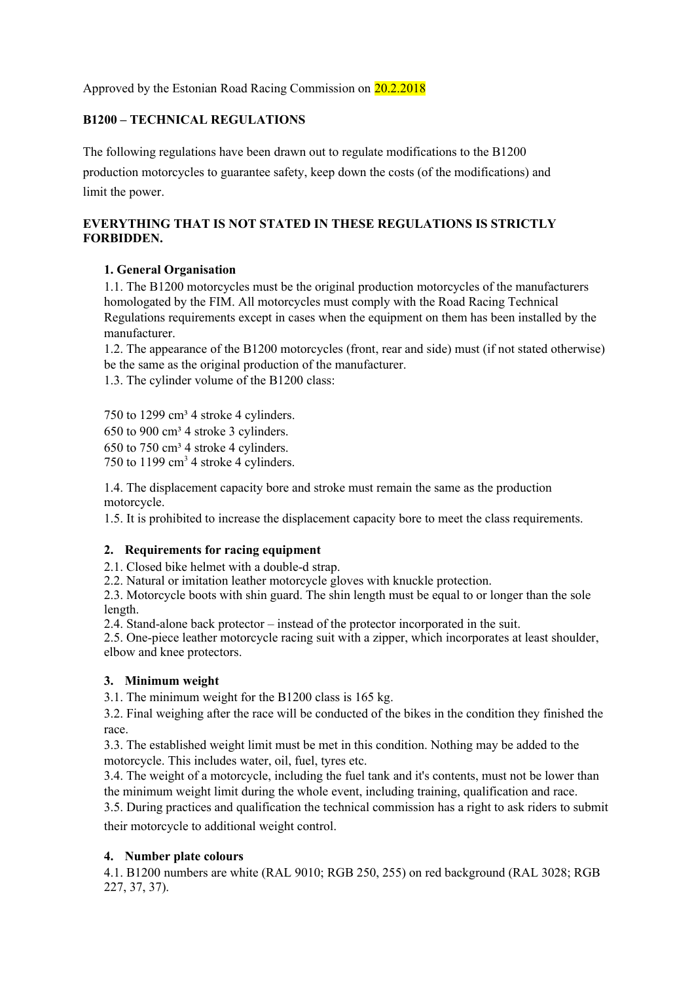Approved by the Estonian Road Racing Commission on 20.2.2018

## **B1200 – TECHNICAL REGULATIONS**

The following regulations have been drawn out to regulate modifications to the B1200 production motorcycles to guarantee safety, keep down the costs (of the modifications) and limit the power.

## **EVERYTHING THAT IS NOT STATED IN THESE REGULATIONS IS STRICTLY FORBIDDEN.**

### **1. General Organisation**

1.1. The B1200 motorcycles must be the original production motorcycles of the manufacturers homologated by the FIM. All motorcycles must comply with the Road Racing Technical Regulations requirements except in cases when the equipment on them has been installed by the manufacturer.

1.2. The appearance of the B1200 motorcycles (front, rear and side) must (if not stated otherwise) be the same as the original production of the manufacturer.

1.3. The cylinder volume of the B1200 class:

750 to 1299 cm<sup>3</sup> 4 stroke 4 cylinders.  $650$  to  $900 \text{ cm}^3$  4 stroke 3 cylinders.  $650$  to  $750$  cm<sup>3</sup> 4 stroke 4 cylinders. 750 to 1199  $\text{cm}^3$  4 stroke 4 cylinders.

1.4. The displacement capacity bore and stroke must remain the same as the production motorcycle.

1.5. It is prohibited to increase the displacement capacity bore to meet the class requirements.

### **2. Requirements for racing equipment**

2.1. Closed bike helmet with a double-d strap.

2.2. Natural or imitation leather motorcycle gloves with knuckle protection.

2.3. Motorcycle boots with shin guard. The shin length must be equal to or longer than the sole length.

2.4. Stand-alone back protector – instead of the protector incorporated in the suit.

2.5. One-piece leather motorcycle racing suit with a zipper, which incorporates at least shoulder, elbow and knee protectors.

### **3. Minimum weight**

3.1. The minimum weight for the B1200 class is 165 kg.

3.2. Final weighing after the race will be conducted of the bikes in the condition they finished the race.

3.3. The established weight limit must be met in this condition. Nothing may be added to the motorcycle. This includes water, oil, fuel, tyres etc.

3.4. The weight of a motorcycle, including the fuel tank and it's contents, must not be lower than the minimum weight limit during the whole event, including training, qualification and race.

3.5. During practices and qualification the technical commission has a right to ask riders to submit their motorcycle to additional weight control.

### **4. Number plate colours**

4.1. B1200 numbers are white (RAL 9010; RGB 250, 255) on red background (RAL 3028; RGB 227, 37, 37).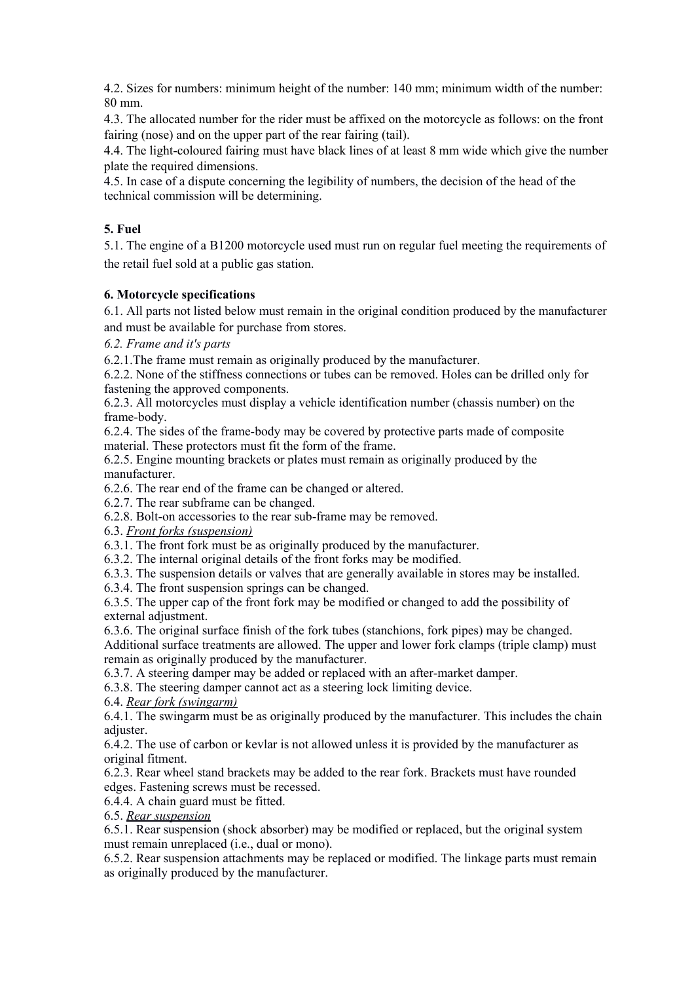4.2. Sizes for numbers: minimum height of the number: 140 mm; minimum width of the number: 80 mm.

4.3. The allocated number for the rider must be affixed on the motorcycle as follows: on the front fairing (nose) and on the upper part of the rear fairing (tail).

4.4. The light-coloured fairing must have black lines of at least 8 mm wide which give the number plate the required dimensions.

4.5. In case of a dispute concerning the legibility of numbers, the decision of the head of the technical commission will be determining.

#### **5. Fuel**

5.1. The engine of a B1200 motorcycle used must run on regular fuel meeting the requirements of the retail fuel sold at a public gas station.

#### **6. Motorcycle specifications**

6.1. All parts not listed below must remain in the original condition produced by the manufacturer and must be available for purchase from stores.

*6.2. Frame and it's parts*

6.2.1.The frame must remain as originally produced by the manufacturer.

6.2.2. None of the stiffness connections or tubes can be removed. Holes can be drilled only for fastening the approved components.

6.2.3. All motorcycles must display a vehicle identification number (chassis number) on the frame-body.

6.2.4. The sides of the frame-body may be covered by protective parts made of composite material. These protectors must fit the form of the frame.

6.2.5. Engine mounting brackets or plates must remain as originally produced by the manufacturer.

6.2.6. The rear end of the frame can be changed or altered.

6.2.7. The rear subframe can be changed.

6.2.8. Bolt-on accessories to the rear sub-frame may be removed.

6.3. *Front forks (suspension)*

6.3.1. The front fork must be as originally produced by the manufacturer.

6.3.2. The internal original details of the front forks may be modified.

6.3.3. The suspension details or valves that are generally available in stores may be installed.

6.3.4. The front suspension springs can be changed.

6.3.5. The upper cap of the front fork may be modified or changed to add the possibility of external adjustment.

6.3.6. The original surface finish of the fork tubes (stanchions, fork pipes) may be changed. Additional surface treatments are allowed. The upper and lower fork clamps (triple clamp) must remain as originally produced by the manufacturer.

6.3.7. A steering damper may be added or replaced with an after-market damper.

6.3.8. The steering damper cannot act as a steering lock limiting device.

6.4. *Rear fork (swingarm)*

6.4.1. The swingarm must be as originally produced by the manufacturer. This includes the chain adjuster.

6.4.2. The use of carbon or kevlar is not allowed unless it is provided by the manufacturer as original fitment.

6.2.3. Rear wheel stand brackets may be added to the rear fork. Brackets must have rounded edges. Fastening screws must be recessed.

6.4.4. A chain guard must be fitted.

6.5. *Rear suspension*

6.5.1. Rear suspension (shock absorber) may be modified or replaced, but the original system must remain unreplaced (i.e., dual or mono).

6.5.2. Rear suspension attachments may be replaced or modified. The linkage parts must remain as originally produced by the manufacturer.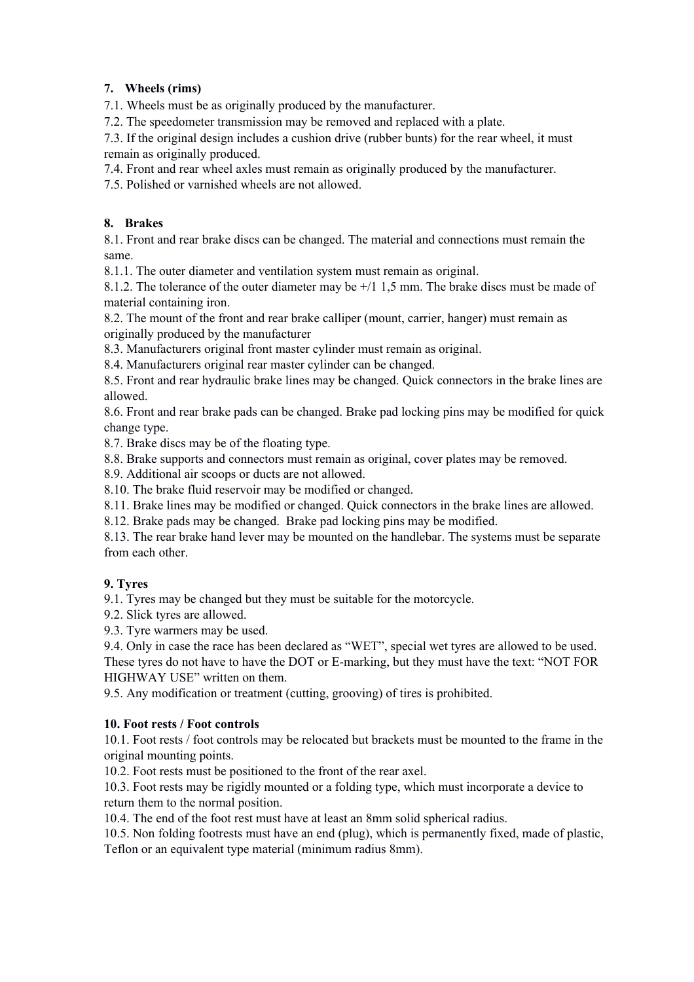## **7. Wheels (rims)**

7.1. Wheels must be as originally produced by the manufacturer.

7.2. The speedometer transmission may be removed and replaced with a plate.

7.3. If the original design includes a cushion drive (rubber bunts) for the rear wheel, it must remain as originally produced.

7.4. Front and rear wheel axles must remain as originally produced by the manufacturer.

7.5. Polished or varnished wheels are not allowed.

## **8. Brakes**

8.1. Front and rear brake discs can be changed. The material and connections must remain the same.

8.1.1. The outer diameter and ventilation system must remain as original.

8.1.2. The tolerance of the outer diameter may be +/1 1,5 mm. The brake discs must be made of material containing iron.

8.2. The mount of the front and rear brake calliper (mount, carrier, hanger) must remain as originally produced by the manufacturer

8.3. Manufacturers original front master cylinder must remain as original.

8.4. Manufacturers original rear master cylinder can be changed.

8.5. Front and rear hydraulic brake lines may be changed. Quick connectors in the brake lines are allowed.

8.6. Front and rear brake pads can be changed. Brake pad locking pins may be modified for quick change type.

8.7. Brake discs may be of the floating type.

8.8. Brake supports and connectors must remain as original, cover plates may be removed.

8.9. Additional air scoops or ducts are not allowed.

8.10. The brake fluid reservoir may be modified or changed.

8.11. Brake lines may be modified or changed. Quick connectors in the brake lines are allowed.

8.12. Brake pads may be changed. Brake pad locking pins may be modified.

8.13. The rear brake hand lever may be mounted on the handlebar. The systems must be separate from each other.

### **9. Tyres**

9.1. Tyres may be changed but they must be suitable for the motorcycle.

9.2. Slick tyres are allowed.

9.3. Tyre warmers may be used.

9.4. Only in case the race has been declared as "WET", special wet tyres are allowed to be used.

These tyres do not have to have the DOT or E-marking, but they must have the text: "NOT FOR HIGHWAY USE" written on them.

9.5. Any modification or treatment (cutting, grooving) of tires is prohibited.

### **10. Foot rests / Foot controls**

10.1. Foot rests / foot controls may be relocated but brackets must be mounted to the frame in the original mounting points.

10.2. Foot rests must be positioned to the front of the rear axel.

10.3. Foot rests may be rigidly mounted or a folding type, which must incorporate a device to return them to the normal position.

10.4. The end of the foot rest must have at least an 8mm solid spherical radius.

10.5. Non folding footrests must have an end (plug), which is permanently fixed, made of plastic, Teflon or an equivalent type material (minimum radius 8mm).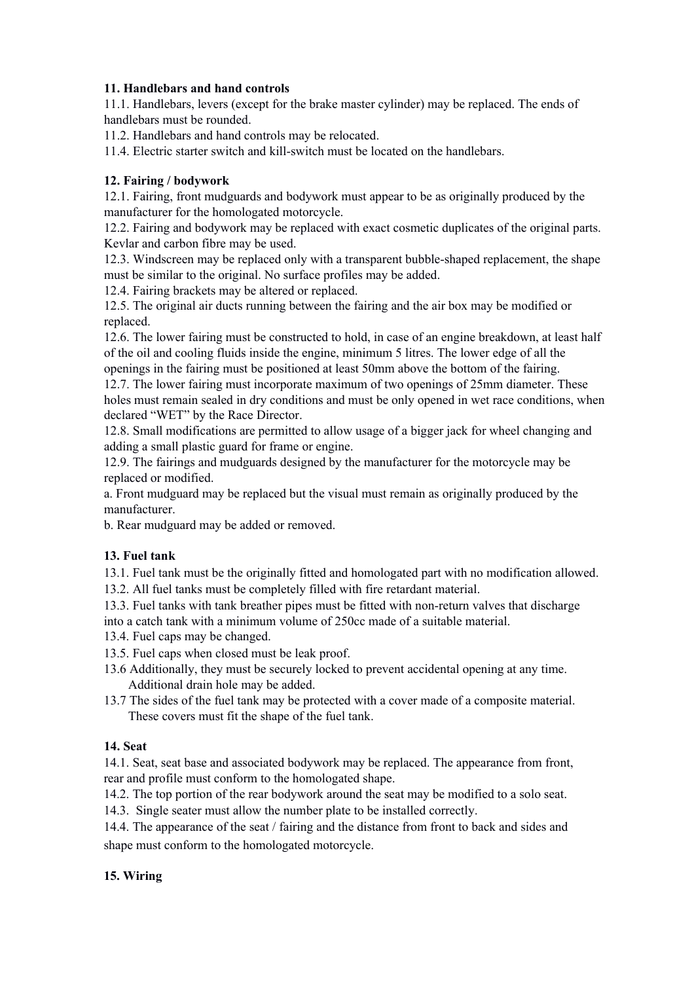## **11. Handlebars and hand controls**

11.1. Handlebars, levers (except for the brake master cylinder) may be replaced. The ends of handlebars must be rounded.

11.2. Handlebars and hand controls may be relocated.

11.4. Electric starter switch and kill-switch must be located on the handlebars.

## **12. Fairing / bodywork**

12.1. Fairing, front mudguards and bodywork must appear to be as originally produced by the manufacturer for the homologated motorcycle.

12.2. Fairing and bodywork may be replaced with exact cosmetic duplicates of the original parts. Kevlar and carbon fibre may be used.

12.3. Windscreen may be replaced only with a transparent bubble-shaped replacement, the shape must be similar to the original. No surface profiles may be added.

12.4. Fairing brackets may be altered or replaced.

12.5. The original air ducts running between the fairing and the air box may be modified or replaced.

12.6. The lower fairing must be constructed to hold, in case of an engine breakdown, at least half of the oil and cooling fluids inside the engine, minimum 5 litres. The lower edge of all the openings in the fairing must be positioned at least 50mm above the bottom of the fairing.

12.7. The lower fairing must incorporate maximum of two openings of 25mm diameter. These holes must remain sealed in dry conditions and must be only opened in wet race conditions, when declared "WET" by the Race Director.

12.8. Small modifications are permitted to allow usage of a bigger jack for wheel changing and adding a small plastic guard for frame or engine.

12.9. The fairings and mudguards designed by the manufacturer for the motorcycle may be replaced or modified.

a. Front mudguard may be replaced but the visual must remain as originally produced by the manufacturer.

b. Rear mudguard may be added or removed.

### **13. Fuel tank**

13.1. Fuel tank must be the originally fitted and homologated part with no modification allowed.

13.2. All fuel tanks must be completely filled with fire retardant material.

13.3. Fuel tanks with tank breather pipes must be fitted with non-return valves that discharge into a catch tank with a minimum volume of 250cc made of a suitable material.

13.4. Fuel caps may be changed.

13.5. Fuel caps when closed must be leak proof.

- 13.6 Additionally, they must be securely locked to prevent accidental opening at any time. Additional drain hole may be added.
- 13.7 The sides of the fuel tank may be protected with a cover made of a composite material. These covers must fit the shape of the fuel tank.

### **14. Seat**

14.1. Seat, seat base and associated bodywork may be replaced. The appearance from front, rear and profile must conform to the homologated shape.

14.2. The top portion of the rear bodywork around the seat may be modified to a solo seat.

14.3. Single seater must allow the number plate to be installed correctly.

14.4. The appearance of the seat / fairing and the distance from front to back and sides and shape must conform to the homologated motorcycle.

### **15. Wiring**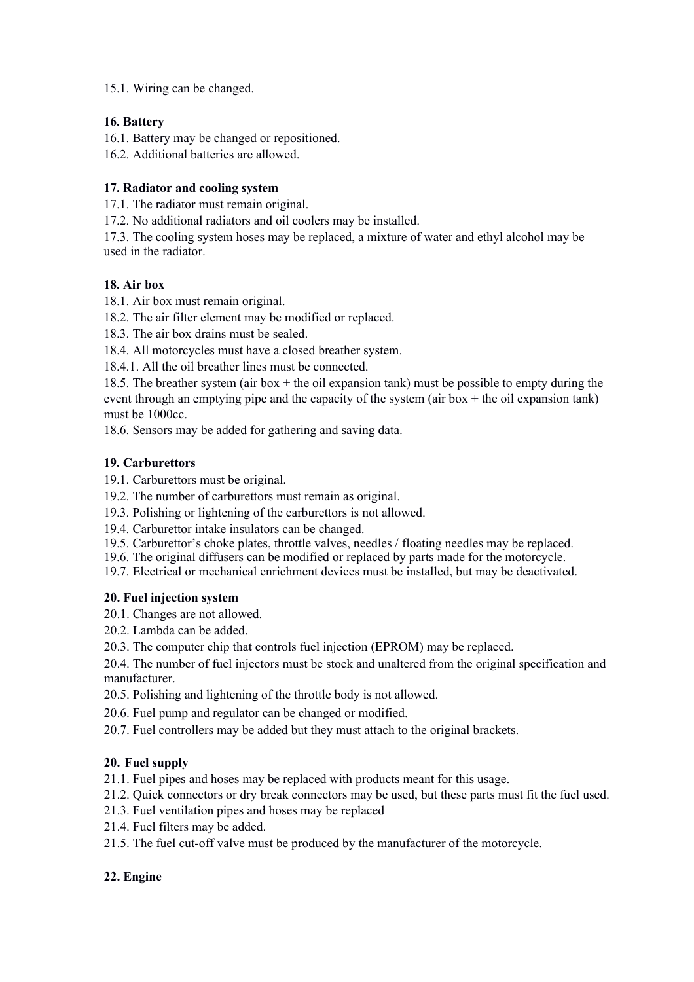### 15.1. Wiring can be changed.

## **16. Battery**

16.1. Battery may be changed or repositioned.

16.2. Additional batteries are allowed.

## **17. Radiator and cooling system**

17.1. The radiator must remain original.

17.2. No additional radiators and oil coolers may be installed.

17.3. The cooling system hoses may be replaced, a mixture of water and ethyl alcohol may be used in the radiator.

## **18. Air box**

18.1. Air box must remain original.

18.2. The air filter element may be modified or replaced.

18.3. The air box drains must be sealed.

18.4. All motorcycles must have a closed breather system.

18.4.1. All the oil breather lines must be connected.

18.5. The breather system (air box  $+$  the oil expansion tank) must be possible to empty during the event through an emptying pipe and the capacity of the system (air box + the oil expansion tank) must be 1000cc.

18.6. Sensors may be added for gathering and saving data.

# **19. Carburettors**

19.1. Carburettors must be original.

- 19.2. The number of carburettors must remain as original.
- 19.3. Polishing or lightening of the carburettors is not allowed.
- 19.4. Carburettor intake insulators can be changed.
- 19.5. Carburettor's choke plates, throttle valves, needles / floating needles may be replaced.
- 19.6. The original diffusers can be modified or replaced by parts made for the motorcycle.
- 19.7. Electrical or mechanical enrichment devices must be installed, but may be deactivated.

# **20. Fuel injection system**

20.1. Changes are not allowed.

- 20.2. Lambda can be added.
- 20.3. The computer chip that controls fuel injection (EPROM) may be replaced.

20.4. The number of fuel injectors must be stock and unaltered from the original specification and manufacturer.

- 20.5. Polishing and lightening of the throttle body is not allowed.
- 20.6. Fuel pump and regulator can be changed or modified.
- 20.7. Fuel controllers may be added but they must attach to the original brackets.

# **20. Fuel supply**

21.1. Fuel pipes and hoses may be replaced with products meant for this usage.

21.2. Quick connectors or dry break connectors may be used, but these parts must fit the fuel used.

- 21.3. Fuel ventilation pipes and hoses may be replaced
- 21.4. Fuel filters may be added.
- 21.5. The fuel cut-off valve must be produced by the manufacturer of the motorcycle.

# **22. Engine**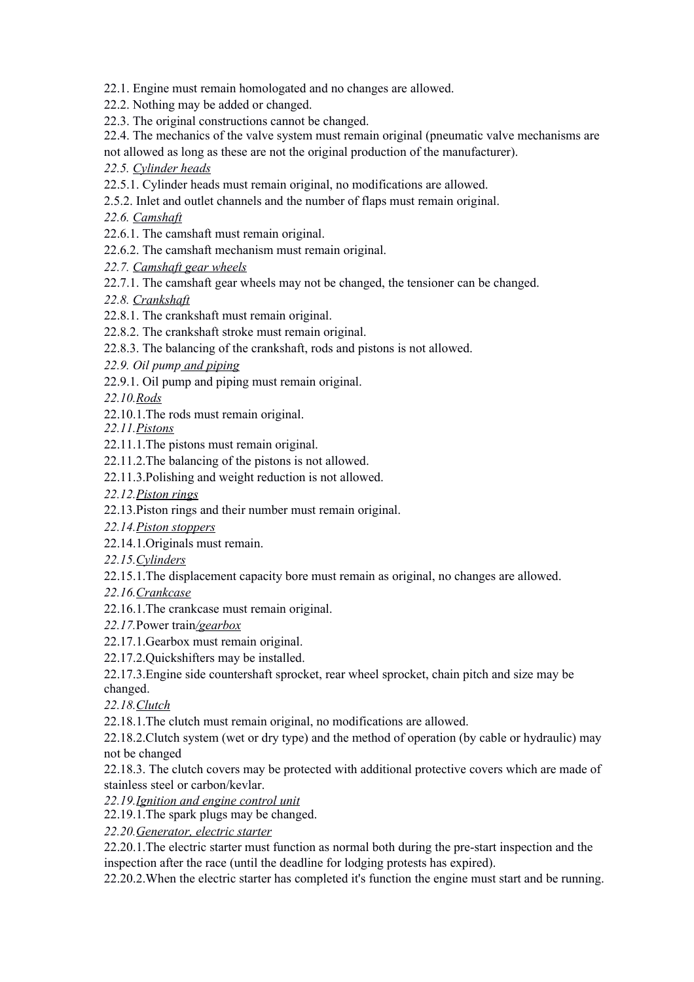22.1. Engine must remain homologated and no changes are allowed.

22.2. Nothing may be added or changed.

22.3. The original constructions cannot be changed.

22.4. The mechanics of the valve system must remain original (pneumatic valve mechanisms are

not allowed as long as these are not the original production of the manufacturer).

*22.5. Cylinder heads*

22.5.1. Cylinder heads must remain original, no modifications are allowed.

2.5.2. Inlet and outlet channels and the number of flaps must remain original.

*22.6. Camshaft*

22.6.1. The camshaft must remain original.

22.6.2. The camshaft mechanism must remain original.

*22.7. Camshaft gear wheels*

22.7.1. The camshaft gear wheels may not be changed, the tensioner can be changed.

*22.8. Crankshaft*

22.8.1. The crankshaft must remain original.

22.8.2. The crankshaft stroke must remain original.

22.8.3. The balancing of the crankshaft, rods and pistons is not allowed.

*22.9. Oil pump and piping*

22.9.1. Oil pump and piping must remain original.

*22.10.Rods*

22.10.1.The rods must remain original.

*22.11.Pistons*

22.11.1.The pistons must remain original.

22.11.2.The balancing of the pistons is not allowed.

22.11.3.Polishing and weight reduction is not allowed.

*22.12.Piston rings*

22.13.Piston rings and their number must remain original.

*22.14.Piston stoppers*

22.14.1.Originals must remain.

*22.15.Cylinders*

22.15.1.The displacement capacity bore must remain as original, no changes are allowed.

*22.16.Crankcase*

22.16.1.The crankcase must remain original.

*22.17.*Power train*/gearbox*

22.17.1.Gearbox must remain original.

22.17.2.Quickshifters may be installed.

22.17.3.Engine side countershaft sprocket, rear wheel sprocket, chain pitch and size may be changed.

*22.18.Clutch*

22.18.1.The clutch must remain original, no modifications are allowed.

22.18.2.Clutch system (wet or dry type) and the method of operation (by cable or hydraulic) may not be changed

22.18.3. The clutch covers may be protected with additional protective covers which are made of stainless steel or carbon/kevlar.

*22.19.Ignition and engine control unit*

22.19.1.The spark plugs may be changed.

*22.20.Generator, electric starter*

22.20.1.The electric starter must function as normal both during the pre-start inspection and the inspection after the race (until the deadline for lodging protests has expired).

22.20.2.When the electric starter has completed it's function the engine must start and be running.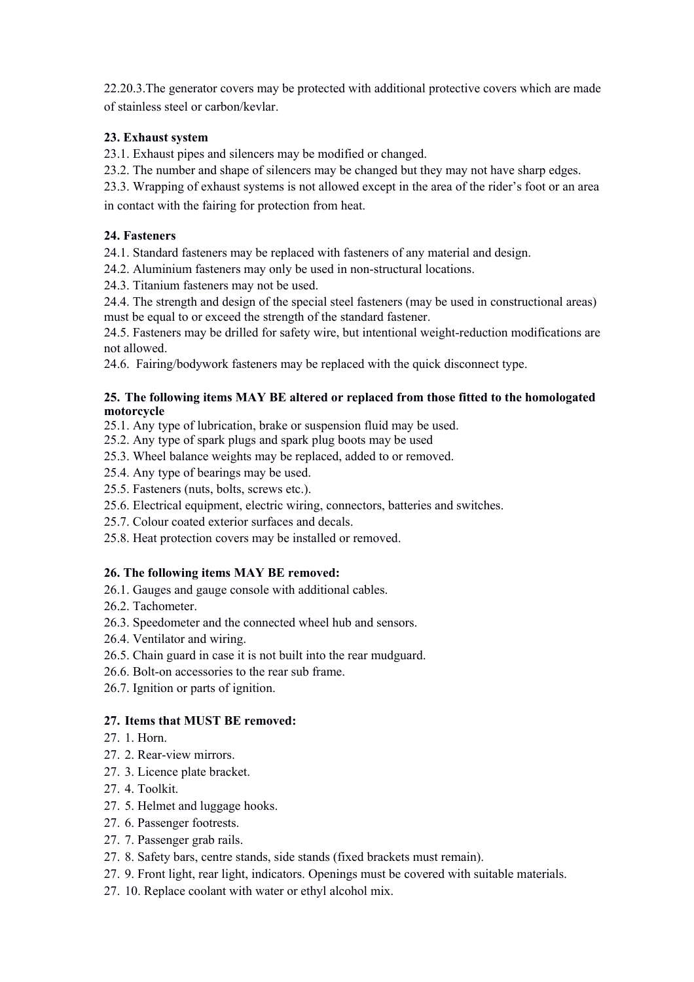22.20.3.The generator covers may be protected with additional protective covers which are made of stainless steel or carbon/kevlar.

## **23. Exhaust system**

23.1. Exhaust pipes and silencers may be modified or changed.

23.2. The number and shape of silencers may be changed but they may not have sharp edges.

23.3. Wrapping of exhaust systems is not allowed except in the area of the rider's foot or an area in contact with the fairing for protection from heat.

## **24. Fasteners**

24.1. Standard fasteners may be replaced with fasteners of any material and design.

24.2. Aluminium fasteners may only be used in non-structural locations.

24.3. Titanium fasteners may not be used.

24.4. The strength and design of the special steel fasteners (may be used in constructional areas) must be equal to or exceed the strength of the standard fastener.

24.5. Fasteners may be drilled for safety wire, but intentional weight-reduction modifications are not allowed.

24.6. Fairing/bodywork fasteners may be replaced with the quick disconnect type.

#### **25. The following items MAY BE altered or replaced from those fitted to the homologated motorcycle**

- 25.1. Any type of lubrication, brake or suspension fluid may be used.
- 25.2. Any type of spark plugs and spark plug boots may be used
- 25.3. Wheel balance weights may be replaced, added to or removed.
- 25.4. Any type of bearings may be used.
- 25.5. Fasteners (nuts, bolts, screws etc.).
- 25.6. Electrical equipment, electric wiring, connectors, batteries and switches.
- 25.7. Colour coated exterior surfaces and decals.
- 25.8. Heat protection covers may be installed or removed.

### **26. The following items MAY BE removed:**

- 26.1. Gauges and gauge console with additional cables.
- 26.2. Tachometer.
- 26.3. Speedometer and the connected wheel hub and sensors.
- 26.4. Ventilator and wiring.
- 26.5. Chain guard in case it is not built into the rear mudguard.
- 26.6. Bolt-on accessories to the rear sub frame.
- 26.7. Ignition or parts of ignition.

### **27. Items that MUST BE removed:**

- 27. 1. Horn.
- 27. 2. Rear-view mirrors.
- 27. 3. Licence plate bracket.
- 27. 4. Toolkit.
- 27. 5. Helmet and luggage hooks.
- 27. 6. Passenger footrests.
- 27. 7. Passenger grab rails.
- 27. 8. Safety bars, centre stands, side stands (fixed brackets must remain).
- 27. 9. Front light, rear light, indicators. Openings must be covered with suitable materials.
- 27. 10. Replace coolant with water or ethyl alcohol mix.